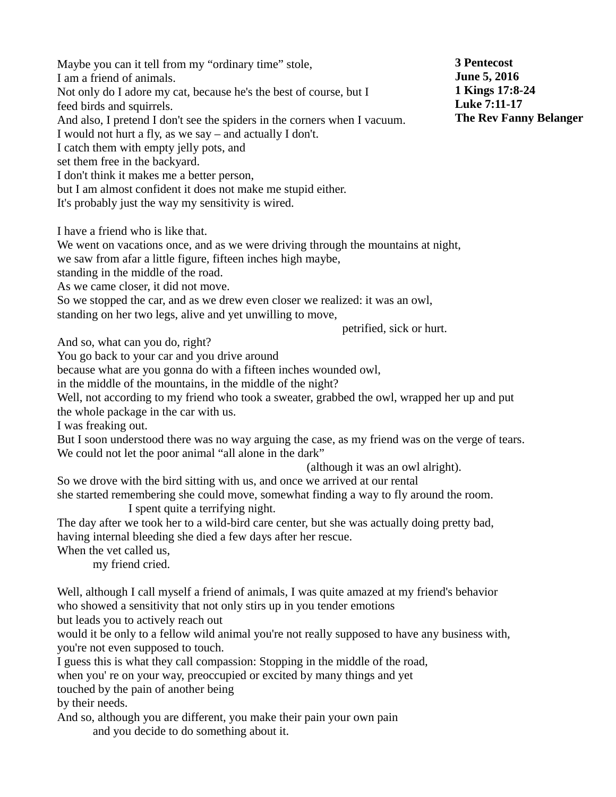Maybe you can it tell from my "ordinary time" stole, I am a friend of animals. Not only do I adore my cat, because he's the best of course, but I feed birds and squirrels. And also, I pretend I don't see the spiders in the corners when I vacuum. I would not hurt a fly, as we say – and actually I don't. I catch them with empty jelly pots, and set them free in the backyard. I don't think it makes me a better person, but I am almost confident it does not make me stupid either. It's probably just the way my sensitivity is wired. I have a friend who is like that. We went on vacations once, and as we were driving through the mountains at night, we saw from afar a little figure, fifteen inches high maybe, standing in the middle of the road. As we came closer, it did not move. So we stopped the car, and as we drew even closer we realized: it was an owl, standing on her two legs, alive and yet unwilling to move, petrified, sick or hurt.

And so, what can you do, right?

You go back to your car and you drive around

because what are you gonna do with a fifteen inches wounded owl,

in the middle of the mountains, in the middle of the night?

Well, not according to my friend who took a sweater, grabbed the owl, wrapped her up and put the whole package in the car with us.

I was freaking out.

But I soon understood there was no way arguing the case, as my friend was on the verge of tears. We could not let the poor animal "all alone in the dark"

(although it was an owl alright).

So we drove with the bird sitting with us, and once we arrived at our rental she started remembering she could move, somewhat finding a way to fly around the room.

I spent quite a terrifying night.

The day after we took her to a wild-bird care center, but she was actually doing pretty bad, having internal bleeding she died a few days after her rescue.

When the vet called us,

my friend cried.

Well, although I call myself a friend of animals, I was quite amazed at my friend's behavior who showed a sensitivity that not only stirs up in you tender emotions

but leads you to actively reach out

would it be only to a fellow wild animal you're not really supposed to have any business with, you're not even supposed to touch.

I guess this is what they call compassion: Stopping in the middle of the road,

when you' re on your way, preoccupied or excited by many things and yet

touched by the pain of another being

by their needs.

And so, although you are different, you make their pain your own pain

and you decide to do something about it.

**3 Pentecost June 5, 2016 1 Kings 17:8-24 Luke 7:11-17 The Rev Fanny Belanger**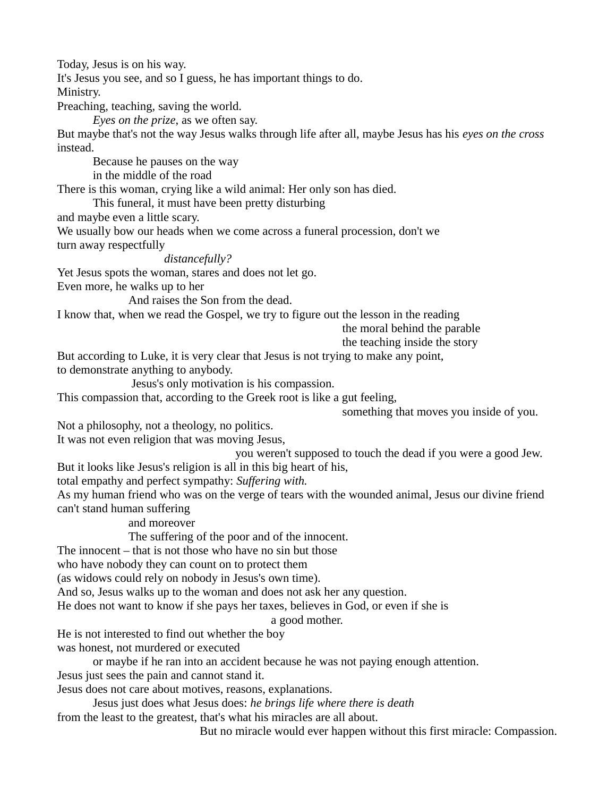Today, Jesus is on his way.

It's Jesus you see, and so I guess, he has important things to do.

Ministry.

Preaching, teaching, saving the world.

*Eyes on the prize*, as we often say.

But maybe that's not the way Jesus walks through life after all, maybe Jesus has his *eyes on the cross* instead.

Because he pauses on the way

in the middle of the road

There is this woman, crying like a wild animal: Her only son has died.

This funeral, it must have been pretty disturbing

and maybe even a little scary.

We usually bow our heads when we come across a funeral procession, don't we turn away respectfully

*distancefully?*

Yet Jesus spots the woman, stares and does not let go.

Even more, he walks up to her

And raises the Son from the dead.

I know that, when we read the Gospel, we try to figure out the lesson in the reading

the moral behind the parable

the teaching inside the story

But according to Luke, it is very clear that Jesus is not trying to make any point, to demonstrate anything to anybody.

Jesus's only motivation is his compassion.

This compassion that, according to the Greek root is like a gut feeling,

something that moves you inside of you.

Not a philosophy, not a theology, no politics.

It was not even religion that was moving Jesus,

you weren't supposed to touch the dead if you were a good Jew. But it looks like Jesus's religion is all in this big heart of his,

total empathy and perfect sympathy: *Suffering with.*

As my human friend who was on the verge of tears with the wounded animal, Jesus our divine friend can't stand human suffering

and moreover

The suffering of the poor and of the innocent.

The innocent – that is not those who have no sin but those

who have nobody they can count on to protect them

(as widows could rely on nobody in Jesus's own time).

And so, Jesus walks up to the woman and does not ask her any question.

He does not want to know if she pays her taxes, believes in God, or even if she is

a good mother.

He is not interested to find out whether the boy was honest, not murdered or executed

or maybe if he ran into an accident because he was not paying enough attention.

Jesus just sees the pain and cannot stand it.

Jesus does not care about motives, reasons, explanations.

Jesus just does what Jesus does: *he brings life where there is death*

from the least to the greatest, that's what his miracles are all about.

But no miracle would ever happen without this first miracle: Compassion.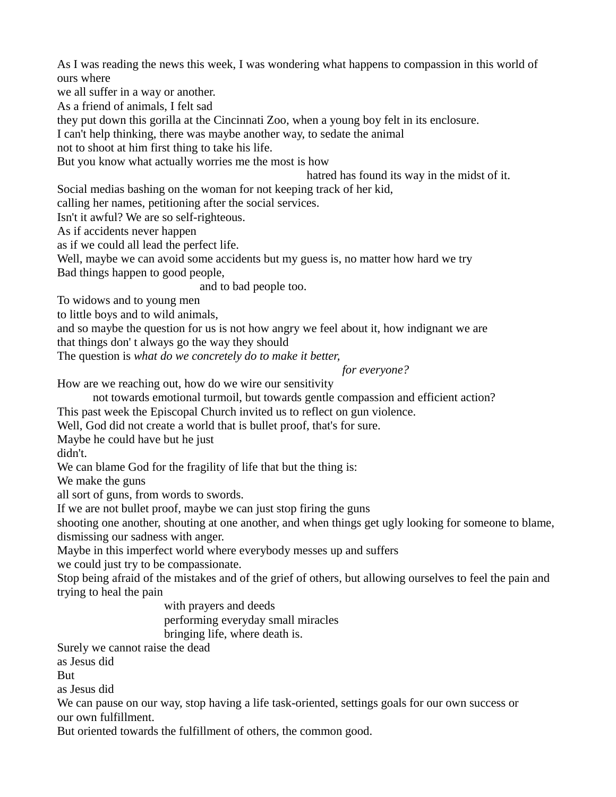As I was reading the news this week, I was wondering what happens to compassion in this world of ours where

we all suffer in a way or another.

As a friend of animals, I felt sad

they put down this gorilla at the Cincinnati Zoo, when a young boy felt in its enclosure.

I can't help thinking, there was maybe another way, to sedate the animal

not to shoot at him first thing to take his life.

But you know what actually worries me the most is how

hatred has found its way in the midst of it.

Social medias bashing on the woman for not keeping track of her kid,

calling her names, petitioning after the social services.

Isn't it awful? We are so self-righteous.

As if accidents never happen

as if we could all lead the perfect life.

Well, maybe we can avoid some accidents but my guess is, no matter how hard we try

Bad things happen to good people,

and to bad people too.

To widows and to young men

to little boys and to wild animals,

and so maybe the question for us is not how angry we feel about it, how indignant we are

that things don' t always go the way they should

The question is *what do we concretely do to make it better,*

*for everyone?*

How are we reaching out, how do we wire our sensitivity

not towards emotional turmoil, but towards gentle compassion and efficient action? This past week the Episcopal Church invited us to reflect on gun violence.

Well, God did not create a world that is bullet proof, that's for sure.

Maybe he could have but he just

didn't.

We can blame God for the fragility of life that but the thing is:

We make the guns

all sort of guns, from words to swords.

If we are not bullet proof, maybe we can just stop firing the guns

shooting one another, shouting at one another, and when things get ugly looking for someone to blame, dismissing our sadness with anger.

Maybe in this imperfect world where everybody messes up and suffers

we could just try to be compassionate.

Stop being afraid of the mistakes and of the grief of others, but allowing ourselves to feel the pain and trying to heal the pain

> with prayers and deeds performing everyday small miracles

bringing life, where death is.

Surely we cannot raise the dead

as Jesus did

**But** 

as Jesus did

We can pause on our way, stop having a life task-oriented, settings goals for our own success or our own fulfillment.

But oriented towards the fulfillment of others, the common good.